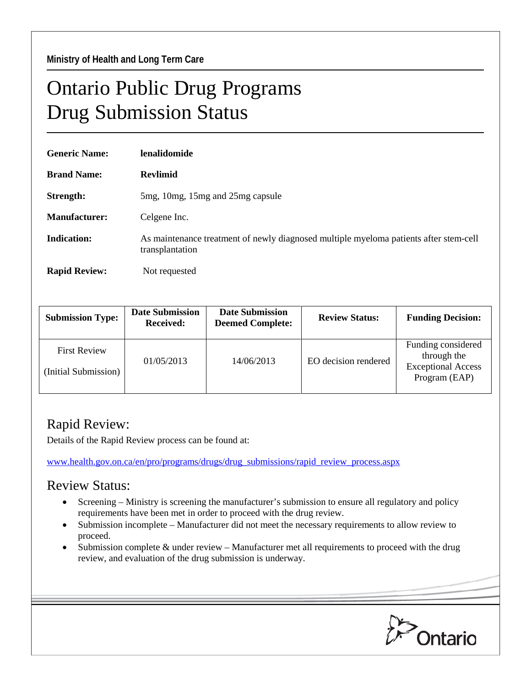## Ontario Public Drug Programs Drug Submission Status

| <b>Generic Name:</b> | lenalidomide                                                                                             |  |  |
|----------------------|----------------------------------------------------------------------------------------------------------|--|--|
| <b>Brand Name:</b>   | <b>Revlimid</b>                                                                                          |  |  |
| Strength:            | 5 mg, 10 mg, 15 mg and 25 mg capsule                                                                     |  |  |
| <b>Manufacturer:</b> | Celgene Inc.                                                                                             |  |  |
| Indication:          | As maintenance treatment of newly diagnosed multiple myeloma patients after stem-cell<br>transplantation |  |  |
| <b>Rapid Review:</b> | Not requested                                                                                            |  |  |

| <b>Submission Type:</b>                     | <b>Date Submission</b><br><b>Received:</b> | <b>Date Submission</b><br><b>Deemed Complete:</b> | <b>Review Status:</b> | <b>Funding Decision:</b>                                                        |
|---------------------------------------------|--------------------------------------------|---------------------------------------------------|-----------------------|---------------------------------------------------------------------------------|
| <b>First Review</b><br>(Initial Submission) | 01/05/2013                                 | 14/06/2013                                        | EO decision rendered  | Funding considered<br>through the<br><b>Exceptional Access</b><br>Program (EAP) |

## Rapid Review:

Details of the Rapid Review process can be found at:

[www.health.gov.on.ca/en/pro/programs/drugs/drug\\_submissions/rapid\\_review\\_process.aspx](http://www.health.gov.on.ca/en/pro/programs/drugs/drug_submissions/rapid_review_process.aspx)

## Review Status:

- Screening Ministry is screening the manufacturer's submission to ensure all regulatory and policy requirements have been met in order to proceed with the drug review.
- Submission incomplete Manufacturer did not meet the necessary requirements to allow review to proceed.
- Submission complete & under review Manufacturer met all requirements to proceed with the drug review, and evaluation of the drug submission is underway.